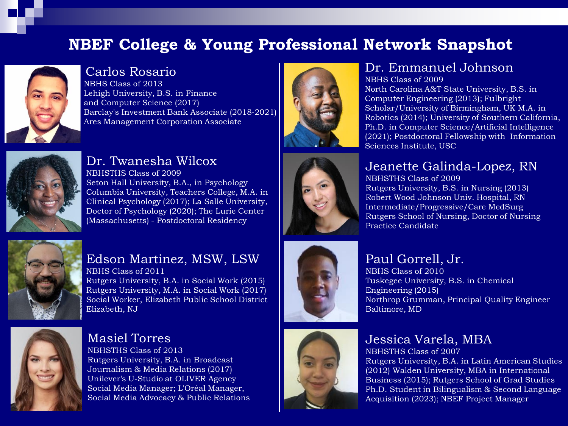# **NBEF College & Young Professional Network Snapshot**



#### Carlos Rosario

NBHS Class of 2013 Lehigh University, B.S. in Finance and Computer Science (2017) Barclay's Investment Bank Associate (2018-2021) Ares Management Corporation Associate



#### Dr. Twanesha Wilcox

NBHSTHS Class of 2009 Seton Hall University, B.A., in Psychology Columbia University, Teachers College, M.A. in Clinical Psychology (2017); La Salle University, Doctor of Psychology (2020); The Lurie Center (Massachusetts) - Postdoctoral Residency



#### Edson Martinez, MSW, LSW NBHS Class of 2011

Rutgers University, B.A. in Social Work (2015) Rutgers University, M.A. in Social Work (2017) Social Worker, Elizabeth Public School District Elizabeth, NJ



Masiel Torres

NBHSTHS Class of 2013 Rutgers University, B.A. in Broadcast Journalism & Media Relations (2017) Unilever's U-Studio at OLIVER Agency Social Media Manager; L'Oréal Manager, Social Media Advocacy & Public Relations



### Dr. Emmanuel Johnson

NBHS Class of 2009 North Carolina A&T State University, B.S. in Computer Engineering (2013); Fulbright Scholar/University of Birmingham, UK M.A. in Robotics (2014); University of Southern California, Ph.D. in Computer Science/Artificial Intelligence (2021); Postdoctoral Fellowship with Information Sciences Institute, USC



# Jeanette Galinda-Lopez, RN

NBHSTHS Class of 2009 Rutgers University, B.S. in Nursing (2013) Robert Wood Johnson Univ. Hospital, RN Intermediate/Progressive/Care MedSurg Rutgers School of Nursing, Doctor of Nursing Practice Candidate

# Paul Gorrell, Jr.

NBHS Class of 2010 Tuskegee University, B.S. in Chemical Engineering (2015) Northrop Grumman, Principal Quality Engineer Baltimore, MD

# Jessica Varela, MBA

NBHSTHS Class of 2007 Rutgers University, B.A. in Latin American Studies (2012) Walden University, MBA in International Business (2015); Rutgers School of Grad Studies Ph.D. Student in Bilingualism & Second Language Acquisition (2023); NBEF Project Manager